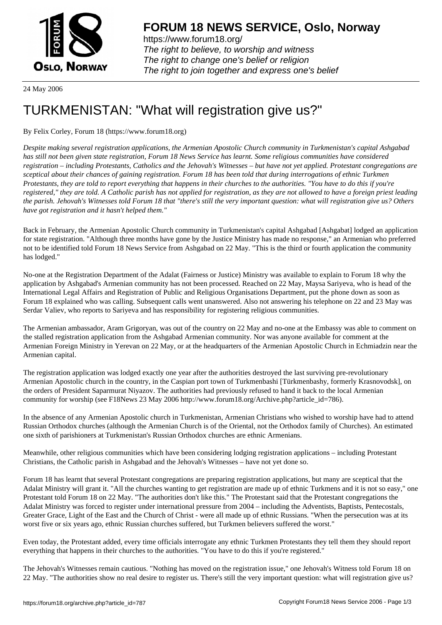

https://www.forum18.org/ The right to believe, to worship and witness The right to change one's belief or religion [The right to join together a](https://www.forum18.org/)nd express one's belief

24 May 2006

## [TURKMENISTA](https://www.forum18.org)N: "What will registration give us?"

By Felix Corley, Forum 18 (https://www.forum18.org)

*Despite making several registration applications, the Armenian Apostolic Church community in Turkmenistan's capital Ashgabad has still not been given state registration, Forum 18 News Service has learnt. Some religious communities have considered registration – including Protestants, Catholics and the Jehovah's Witnesses – but have not yet applied. Protestant congregations are sceptical about their chances of gaining registration. Forum 18 has been told that during interrogations of ethnic Turkmen Protestants, they are told to report everything that happens in their churches to the authorities. "You have to do this if you're registered," they are told. A Catholic parish has not applied for registration, as they are not allowed to have a foreign priest leading the parish. Jehovah's Witnesses told Forum 18 that "there's still the very important question: what will registration give us? Others have got registration and it hasn't helped them."*

Back in February, the Armenian Apostolic Church community in Turkmenistan's capital Ashgabad [Ashgabat] lodged an application for state registration. "Although three months have gone by the Justice Ministry has made no response," an Armenian who preferred not to be identified told Forum 18 News Service from Ashgabad on 22 May. "This is the third or fourth application the community has lodged."

No-one at the Registration Department of the Adalat (Fairness or Justice) Ministry was available to explain to Forum 18 why the application by Ashgabad's Armenian community has not been processed. Reached on 22 May, Maysa Sariyeva, who is head of the International Legal Affairs and Registration of Public and Religious Organisations Department, put the phone down as soon as Forum 18 explained who was calling. Subsequent calls went unanswered. Also not answering his telephone on 22 and 23 May was Serdar Valiev, who reports to Sariyeva and has responsibility for registering religious communities.

The Armenian ambassador, Aram Grigoryan, was out of the country on 22 May and no-one at the Embassy was able to comment on the stalled registration application from the Ashgabad Armenian community. Nor was anyone available for comment at the Armenian Foreign Ministry in Yerevan on 22 May, or at the headquarters of the Armenian Apostolic Church in Echmiadzin near the Armenian capital.

The registration application was lodged exactly one year after the authorities destroyed the last surviving pre-revolutionary Armenian Apostolic church in the country, in the Caspian port town of Turkmenbashi [Türkmenbashy, formerly Krasnovodsk], on the orders of President Saparmurat Niyazov. The authorities had previously refused to hand it back to the local Armenian community for worship (see F18News 23 May 2006 http://www.forum18.org/Archive.php?article\_id=786).

In the absence of any Armenian Apostolic church in Turkmenistan, Armenian Christians who wished to worship have had to attend Russian Orthodox churches (although the Armenian Church is of the Oriental, not the Orthodox family of Churches). An estimated one sixth of parishioners at Turkmenistan's Russian Orthodox churches are ethnic Armenians.

Meanwhile, other religious communities which have been considering lodging registration applications – including Protestant Christians, the Catholic parish in Ashgabad and the Jehovah's Witnesses – have not yet done so.

Forum 18 has learnt that several Protestant congregations are preparing registration applications, but many are sceptical that the Adalat Ministry will grant it. "All the churches wanting to get registration are made up of ethnic Turkmens and it is not so easy," one Protestant told Forum 18 on 22 May. "The authorities don't like this." The Protestant said that the Protestant congregations the Adalat Ministry was forced to register under international pressure from 2004 – including the Adventists, Baptists, Pentecostals, Greater Grace, Light of the East and the Church of Christ - were all made up of ethnic Russians. "When the persecution was at its worst five or six years ago, ethnic Russian churches suffered, but Turkmen believers suffered the worst."

Even today, the Protestant added, every time officials interrogate any ethnic Turkmen Protestants they tell them they should report everything that happens in their churches to the authorities. "You have to do this if you're registered."

The Jehovah's Witnesses remain cautious. "Nothing has moved on the registration issue," one Jehovah's Witness told Forum 18 on 22 May. "The authorities show no real desire to register us. There's still the very important question: what will registration give us?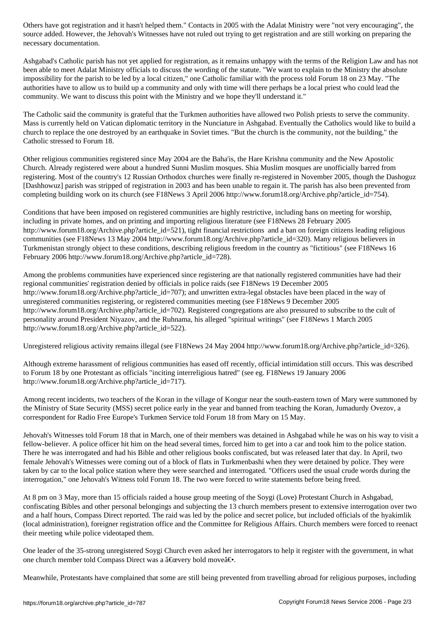necessary documentation.

Ashgabad's Catholic parish has not yet applied for registration, as it remains unhappy with the terms of the Religion Law and has not been able to meet Adalat Ministry officials to discuss the wording of the statute. "We want to explain to the Ministry the absolute impossibility for the parish to be led by a local citizen," one Catholic familiar with the process told Forum 18 on 23 May. "The authorities have to allow us to build up a community and only with time will there perhaps be a local priest who could lead the community. We want to discuss this point with the Ministry and we hope they'll understand it."

The Catholic said the community is grateful that the Turkmen authorities have allowed two Polish priests to serve the community. Mass is currently held on Vatican diplomatic territory in the Nunciature in Ashgabad. Eventually the Catholics would like to build a church to replace the one destroyed by an earthquake in Soviet times. "But the church is the community, not the building," the Catholic stressed to Forum 18.

Other religious communities registered since May 2004 are the Baha'is, the Hare Krishna community and the New Apostolic Church. Already registered were about a hundred Sunni Muslim mosques. Shia Muslim mosques are unofficially barred from registering. Most of the country's 12 Russian Orthodox churches were finally re-registered in November 2005, though the Dashoguz [Dashhowuz] parish was stripped of registration in 2003 and has been unable to regain it. The parish has also been prevented from completing building work on its church (see F18News 3 April 2006 http://www.forum18.org/Archive.php?article\_id=754).

Conditions that have been imposed on registered communities are highly restrictive, including bans on meeting for worship, including in private homes, and on printing and importing religious literature (see F18News 28 February 2005 http://www.forum18.org/Archive.php?article\_id=521), tight financial restrictions and a ban on foreign citizens leading religious communities (see F18News 13 May 2004 http://www.forum18.org/Archive.php?article\_id=320). Many religious believers in Turkmenistan strongly object to these conditions, describing religious freedom in the country as "fictitious" (see F18News 16 February 2006 http://www.forum18.org/Archive.php?article\_id=728).

Among the problems communities have experienced since registering are that nationally registered communities have had their regional communities' registration denied by officials in police raids (see F18News 19 December 2005 http://www.forum18.org/Archive.php?article\_id=707); and unwritten extra-legal obstacles have been placed in the way of unregistered communities registering, or registered communities meeting (see F18News 9 December 2005 http://www.forum18.org/Archive.php?article\_id=702). Registered congregations are also pressured to subscribe to the cult of personality around President Niyazov, and the Ruhnama, his alleged "spiritual writings" (see F18News 1 March 2005 http://www.forum18.org/Archive.php?article\_id=522).

Unregistered religious activity remains illegal (see F18News 24 May 2004 http://www.forum18.org/Archive.php?article\_id=326).

Although extreme harassment of religious communities has eased off recently, official intimidation still occurs. This was described to Forum 18 by one Protestant as officials "inciting interreligious hatred" (see eg. F18News 19 January 2006 http://www.forum18.org/Archive.php?article\_id=717).

Among recent incidents, two teachers of the Koran in the village of Kongur near the south-eastern town of Mary were summoned by the Ministry of State Security (MSS) secret police early in the year and banned from teaching the Koran, Jumadurdy Ovezov, a correspondent for Radio Free Europe's Turkmen Service told Forum 18 from Mary on 15 May.

Jehovah's Witnesses told Forum 18 that in March, one of their members was detained in Ashgabad while he was on his way to visit a fellow-believer. A police officer hit him on the head several times, forced him to get into a car and took him to the police station. There he was interrogated and had his Bible and other religious books confiscated, but was released later that day. In April, two female Jehovah's Witnesses were coming out of a block of flats in Turkmenbashi when they were detained by police. They were taken by car to the local police station where they were searched and interrogated. "Officers used the usual crude words during the interrogation," one Jehovah's Witness told Forum 18. The two were forced to write statements before being freed.

At 8 pm on 3 May, more than 15 officials raided a house group meeting of the Soygi (Love) Protestant Church in Ashgabad, confiscating Bibles and other personal belongings and subjecting the 13 church members present to extensive interrogation over two and a half hours, Compass Direct reported. The raid was led by the police and secret police, but included officials of the hyakimlik (local administration), foreigner registration office and the Committee for Religious Affairs. Church members were forced to reenact their meeting while police videotaped them.

One leader of the 35-strong unregistered Soygi Church even asked her interrogators to help it register with the government, in what one church member told Compass Direct was a  $\hat{a} \in \hat{c}$  were bold move  $\hat{a} \in \cdot$ .

Meanwhile, Protestants have complained that some are still being prevented from travelling abroad for religious purposes, including